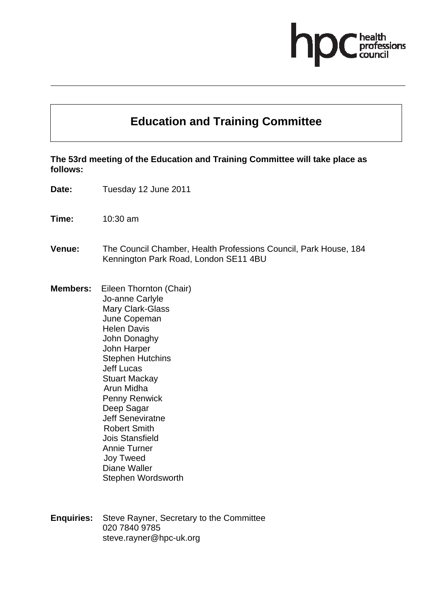# fessions

## **Education and Training Committee**

#### **The 53rd meeting of the Education and Training Committee will take place as follows:**

- **Date:** Tuesday 12 June 2011
- **Time:** 10:30 am
- **Venue:** The Council Chamber, Health Professions Council, Park House, 184 Kennington Park Road, London SE11 4BU
- **Members:** Eileen Thornton (Chair) Jo-anne Carlyle Mary Clark-Glass June Copeman Helen Davis John Donaghy John Harper Stephen Hutchins Jeff Lucas Stuart Mackay Arun Midha Penny Renwick Deep Sagar Jeff Seneviratne Robert Smith Jois Stansfield Annie Turner Joy Tweed Diane Waller
	- Stephen Wordsworth
- **Enquiries:** Steve Rayner, Secretary to the Committee 020 7840 9785 steve.rayner@hpc-uk.org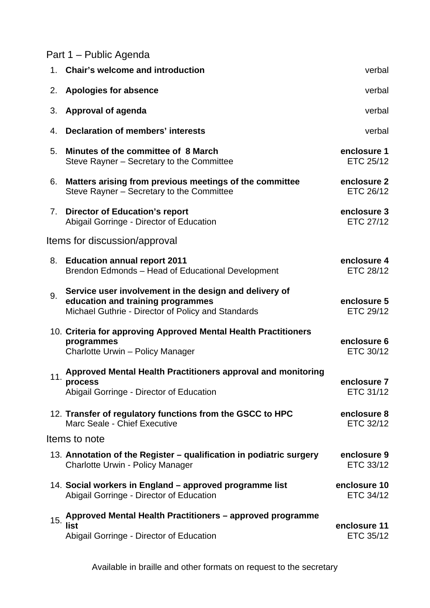# Part 1 – Public Agenda

|               | 1. Chair's welcome and introduction                                                                                                               | verbal                    |  |  |
|---------------|---------------------------------------------------------------------------------------------------------------------------------------------------|---------------------------|--|--|
| 2.            | <b>Apologies for absence</b>                                                                                                                      | verbal                    |  |  |
| 3.            | <b>Approval of agenda</b>                                                                                                                         | verbal                    |  |  |
| 4.            | <b>Declaration of members' interests</b>                                                                                                          | verbal                    |  |  |
| 5.            | Minutes of the committee of 8 March<br>Steve Rayner - Secretary to the Committee                                                                  | enclosure 1<br>ETC 25/12  |  |  |
| 6.            | Matters arising from previous meetings of the committee<br>Steve Rayner - Secretary to the Committee                                              | enclosure 2<br>ETC 26/12  |  |  |
| 7.            | <b>Director of Education's report</b><br>Abigail Gorringe - Director of Education                                                                 | enclosure 3<br>ETC 27/12  |  |  |
|               | Items for discussion/approval                                                                                                                     |                           |  |  |
| 8.            | <b>Education annual report 2011</b><br>Brendon Edmonds - Head of Educational Development                                                          | enclosure 4<br>ETC 28/12  |  |  |
| 9.            | Service user involvement in the design and delivery of<br>education and training programmes<br>Michael Guthrie - Director of Policy and Standards | enclosure 5<br>ETC 29/12  |  |  |
|               | 10. Criteria for approving Approved Mental Health Practitioners<br>programmes<br>Charlotte Urwin - Policy Manager                                 | enclosure 6<br>ETC 30/12  |  |  |
| 11.           | Approved Mental Health Practitioners approval and monitoring<br>process<br>Abigail Gorringe - Director of Education                               | enclosure 7<br>ETC 31/12  |  |  |
|               | 12. Transfer of regulatory functions from the GSCC to HPC<br>Marc Seale - Chief Executive                                                         | enclosure 8<br>ETC 32/12  |  |  |
| Items to note |                                                                                                                                                   |                           |  |  |
|               | 13. Annotation of the Register – qualification in podiatric surgery<br><b>Charlotte Urwin - Policy Manager</b>                                    | enclosure 9<br>ETC 33/12  |  |  |
|               | 14. Social workers in England - approved programme list<br>Abigail Gorringe - Director of Education                                               | enclosure 10<br>ETC 34/12 |  |  |
| 15.           | Approved Mental Health Practitioners - approved programme<br>list<br>Abigail Gorringe - Director of Education                                     | enclosure 11<br>ETC 35/12 |  |  |

Available in braille and other formats on request to the secretary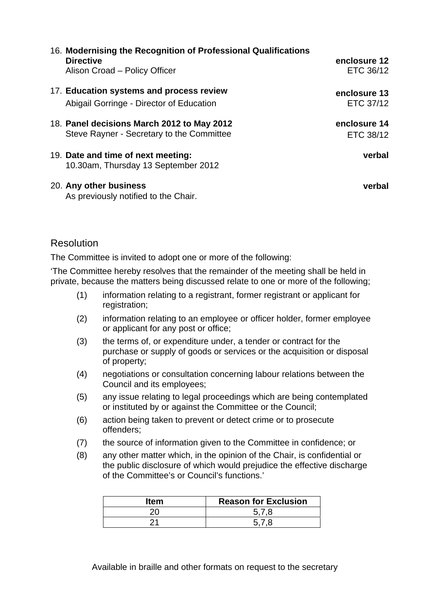| 16. Modernising the Recognition of Professional Qualifications<br><b>Directive</b><br>Alison Croad - Policy Officer | enclosure 12<br>ETC 36/12 |
|---------------------------------------------------------------------------------------------------------------------|---------------------------|
| 17. Education systems and process review<br>Abigail Gorringe - Director of Education                                | enclosure 13<br>ETC 37/12 |
| 18. Panel decisions March 2012 to May 2012<br>Steve Rayner - Secretary to the Committee                             | enclosure 14<br>ETC 38/12 |
| 19. Date and time of next meeting:<br>10.30am, Thursday 13 September 2012                                           | verbal                    |
| 20. Any other business                                                                                              | verbal                    |

### **Resolution**

The Committee is invited to adopt one or more of the following:

As previously notified to the Chair.

'The Committee hereby resolves that the remainder of the meeting shall be held in private, because the matters being discussed relate to one or more of the following;

- (1) information relating to a registrant, former registrant or applicant for registration;
- (2) information relating to an employee or officer holder, former employee or applicant for any post or office;
- (3) the terms of, or expenditure under, a tender or contract for the purchase or supply of goods or services or the acquisition or disposal of property;
- (4) negotiations or consultation concerning labour relations between the Council and its employees;
- (5) any issue relating to legal proceedings which are being contemplated or instituted by or against the Committee or the Council;
- (6) action being taken to prevent or detect crime or to prosecute offenders;
- (7) the source of information given to the Committee in confidence; or
- (8) any other matter which, in the opinion of the Chair, is confidential or the public disclosure of which would prejudice the effective discharge of the Committee's or Council's functions.'

| Item | <b>Reason for Exclusion</b> |
|------|-----------------------------|
|      | 578                         |
|      |                             |